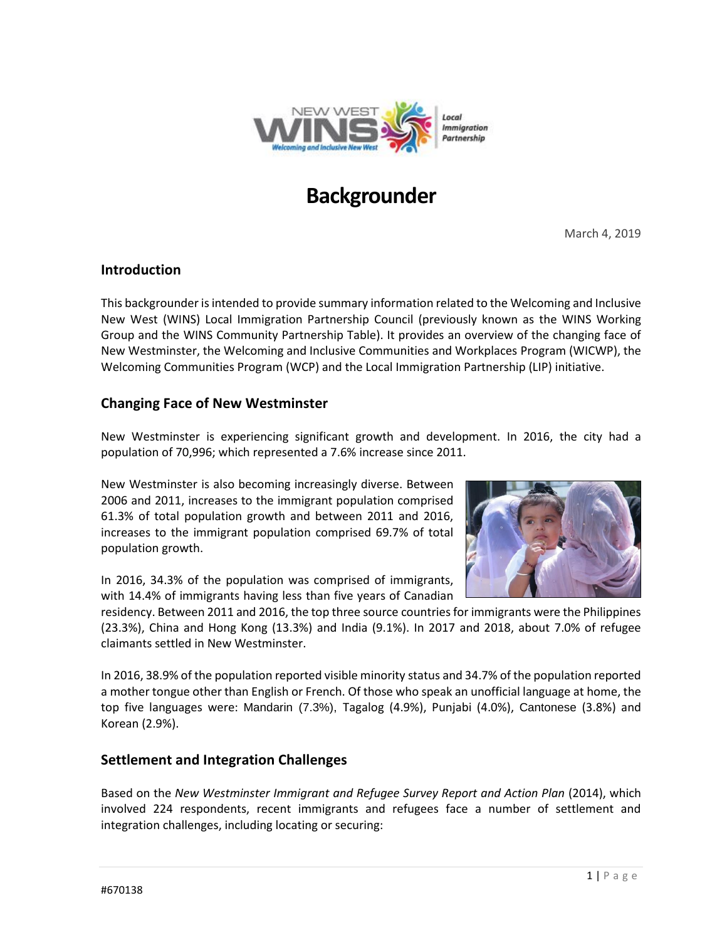

# **Backgrounder**

March 4, 2019

### **Introduction**

This backgrounder is intended to provide summary information related to the Welcoming and Inclusive New West (WINS) Local Immigration Partnership Council (previously known as the WINS Working Group and the WINS Community Partnership Table). It provides an overview of the changing face of New Westminster, the Welcoming and Inclusive Communities and Workplaces Program (WICWP), the Welcoming Communities Program (WCP) and the Local Immigration Partnership (LIP) initiative.

## **Changing Face of New Westminster**

New Westminster is experiencing significant growth and development. In 2016, the city had a population of 70,996; which represented a 7.6% increase since 2011.

New Westminster is also becoming increasingly diverse. Between 2006 and 2011, increases to the immigrant population comprised 61.3% of total population growth and between 2011 and 2016, increases to the immigrant population comprised 69.7% of total population growth.



In 2016, 34.3% of the population was comprised of immigrants, with 14.4% of immigrants having less than five years of Canadian

residency. Between 2011 and 2016, the top three source countries for immigrants were the Philippines (23.3%), China and Hong Kong (13.3%) and India (9.1%). In 2017 and 2018, about 7.0% of refugee claimants settled in New Westminster.

In 2016, 38.9% of the population reported visible minority status and 34.7% of the population reported a mother tongue other than English or French. Of those who speak an unofficial language at home, the top five languages were: Mandarin (7.3%), Tagalog (4.9%), Punjabi (4.0%), Cantonese (3.8%) and Korean (2.9%).

## **Settlement and Integration Challenges**

Based on the *New Westminster Immigrant and Refugee Survey Report and Action Plan* (2014), which involved 224 respondents, recent immigrants and refugees face a number of settlement and integration challenges, including locating or securing: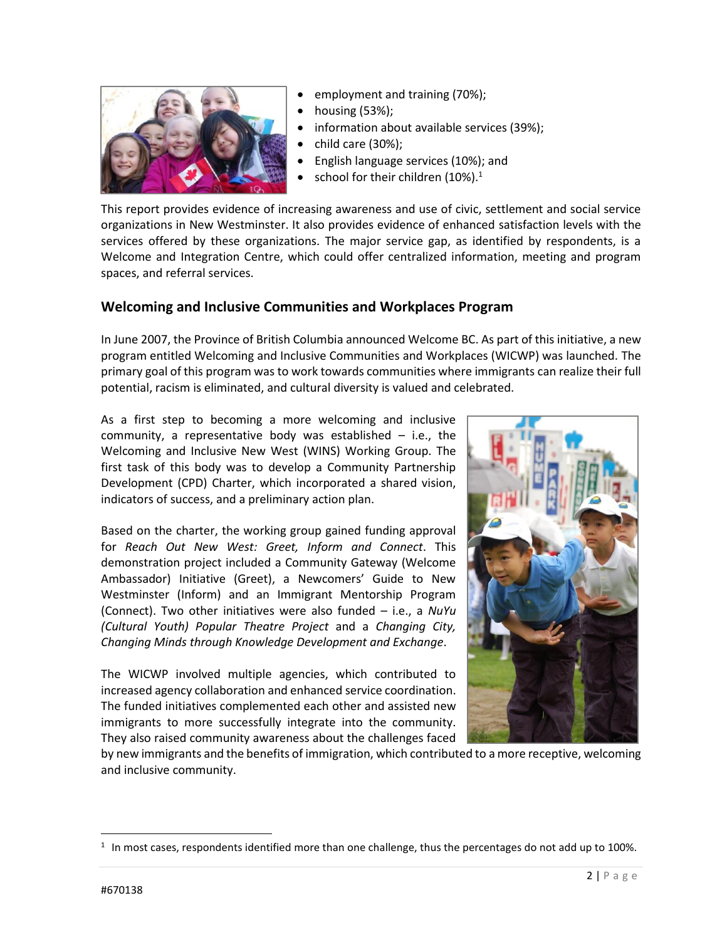

- employment and training (70%);
- housing (53%);
- information about available services (39%);
- child care (30%);
- English language services (10%); and
- school for their children (10%). $1$

This report provides evidence of increasing awareness and use of civic, settlement and social service organizations in New Westminster. It also provides evidence of enhanced satisfaction levels with the services offered by these organizations. The major service gap, as identified by respondents, is a Welcome and Integration Centre, which could offer centralized information, meeting and program spaces, and referral services.

## **Welcoming and Inclusive Communities and Workplaces Program**

In June 2007, the Province of British Columbia announced Welcome BC. As part of this initiative, a new program entitled Welcoming and Inclusive Communities and Workplaces (WICWP) was launched. The primary goal of this program was to work towards communities where immigrants can realize their full potential, racism is eliminated, and cultural diversity is valued and celebrated.

As a first step to becoming a more welcoming and inclusive community, a representative body was established  $-$  i.e., the Welcoming and Inclusive New West (WINS) Working Group. The first task of this body was to develop a Community Partnership Development (CPD) Charter, which incorporated a shared vision, indicators of success, and a preliminary action plan.

Based on the charter, the working group gained funding approval for *Reach Out New West: Greet, Inform and Connect*. This demonstration project included a Community Gateway (Welcome Ambassador) Initiative (Greet), a Newcomers' Guide to New Westminster (Inform) and an Immigrant Mentorship Program (Connect). Two other initiatives were also funded – i.e., a *NuYu (Cultural Youth) Popular Theatre Project* and a *Changing City, Changing Minds through Knowledge Development and Exchange*.

The WICWP involved multiple agencies, which contributed to increased agency collaboration and enhanced service coordination. The funded initiatives complemented each other and assisted new immigrants to more successfully integrate into the community. They also raised community awareness about the challenges faced



by new immigrants and the benefits of immigration, which contributed to a more receptive, welcoming and inclusive community.

 $\overline{a}$ 

 $1$  In most cases, respondents identified more than one challenge, thus the percentages do not add up to 100%.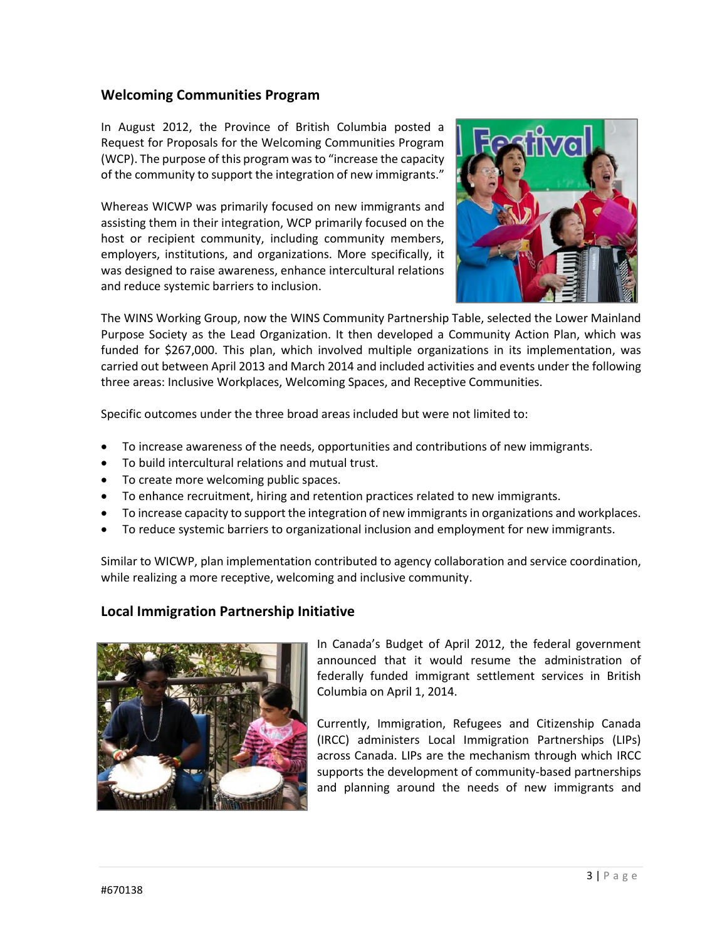## **Welcoming Communities Program**

In August 2012, the Province of British Columbia posted a Request for Proposals for the Welcoming Communities Program (WCP). The purpose of this program was to "increase the capacity of the community to support the integration of new immigrants."

Whereas WICWP was primarily focused on new immigrants and assisting them in their integration, WCP primarily focused on the host or recipient community, including community members, employers, institutions, and organizations. More specifically, it was designed to raise awareness, enhance intercultural relations and reduce systemic barriers to inclusion.



The WINS Working Group, now the WINS Community Partnership Table, selected the Lower Mainland Purpose Society as the Lead Organization. It then developed a Community Action Plan, which was funded for \$267,000. This plan, which involved multiple organizations in its implementation, was carried out between April 2013 and March 2014 and included activities and events under the following three areas: Inclusive Workplaces, Welcoming Spaces, and Receptive Communities.

Specific outcomes under the three broad areas included but were not limited to:

- To increase awareness of the needs, opportunities and contributions of new immigrants.
- To build intercultural relations and mutual trust.
- To create more welcoming public spaces.
- To enhance recruitment, hiring and retention practices related to new immigrants.
- To increase capacity to support the integration of new immigrants in organizations and workplaces.
- To reduce systemic barriers to organizational inclusion and employment for new immigrants.

Similar to WICWP, plan implementation contributed to agency collaboration and service coordination, while realizing a more receptive, welcoming and inclusive community.

### **Local Immigration Partnership Initiative**



In Canada's Budget of April 2012, the federal government announced that it would resume the administration of federally funded immigrant settlement services in British Columbia on April 1, 2014.

Currently, Immigration, Refugees and Citizenship Canada (IRCC) administers Local Immigration Partnerships (LIPs) across Canada. LIPs are the mechanism through which IRCC supports the development of community-based partnerships and planning around the needs of new immigrants and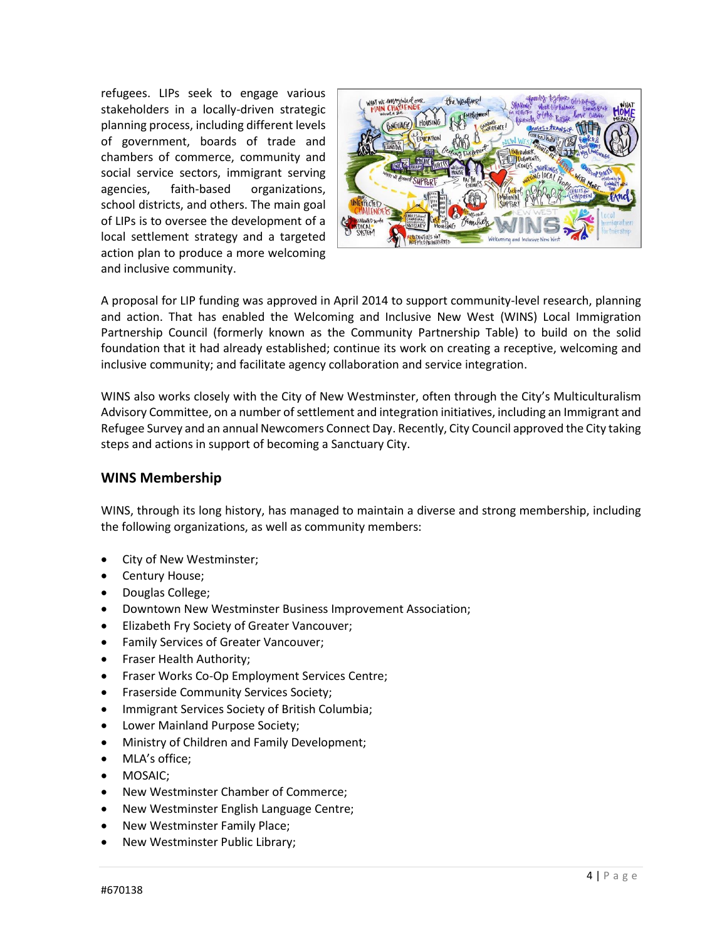refugees. LIPs seek to engage various stakeholders in a locally-driven strategic planning process, including different levels of government, boards of trade and chambers of commerce, community and social service sectors, immigrant serving agencies, faith-based organizations, school districts, and others. The main goal of LIPs is to oversee the development of a local settlement strategy and a targeted action plan to produce a more welcoming and inclusive community.



A proposal for LIP funding was approved in April 2014 to support community-level research, planning and action. That has enabled the Welcoming and Inclusive New West (WINS) Local Immigration Partnership Council (formerly known as the Community Partnership Table) to build on the solid foundation that it had already established; continue its work on creating a receptive, welcoming and inclusive community; and facilitate agency collaboration and service integration.

WINS also works closely with the City of New Westminster, often through the City's Multiculturalism Advisory Committee, on a number of settlement and integration initiatives, including an Immigrant and Refugee Survey and an annual Newcomers Connect Day. Recently, City Council approved the City taking steps and actions in support of becoming a Sanctuary City.

#### **WINS Membership**

WINS, through its long history, has managed to maintain a diverse and strong membership, including the following organizations, as well as community members:

- City of New Westminster;
- Century House;
- Douglas College;
- Downtown New Westminster Business Improvement Association;
- Elizabeth Fry Society of Greater Vancouver;
- Family Services of Greater Vancouver;
- Fraser Health Authority;
- Fraser Works Co-Op Employment Services Centre;
- Fraserside Community Services Society;
- Immigrant Services Society of British Columbia;
- Lower Mainland Purpose Society;
- Ministry of Children and Family Development;
- MLA's office;
- MOSAIC;
- New Westminster Chamber of Commerce;
- New Westminster English Language Centre;
- New Westminster Family Place;
- New Westminster Public Library;